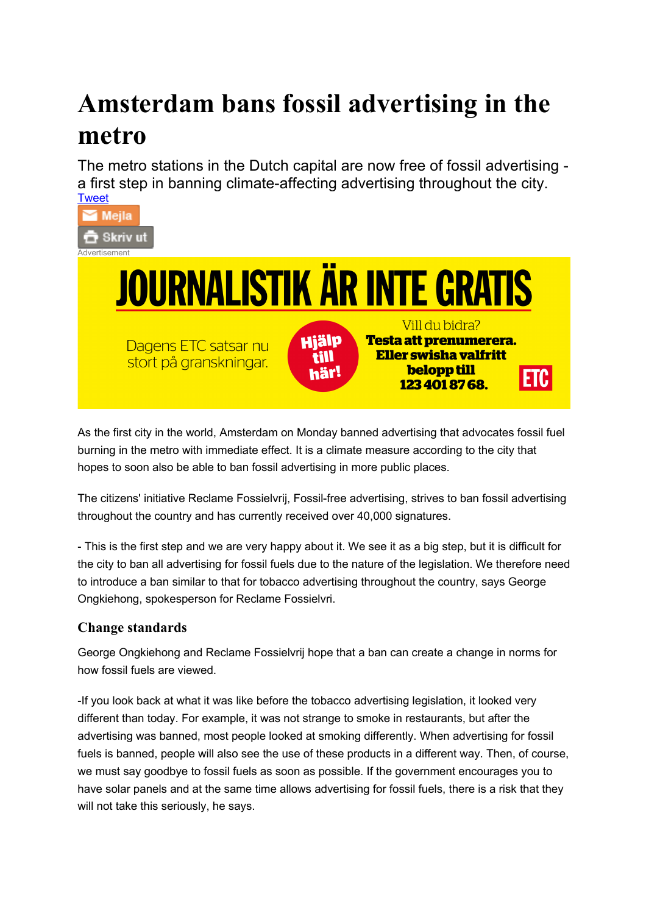## **Amsterdam bans fossil advertising in the metro**

The metro stations in the Dutch capital are now free of fossil advertising a first step in banning climate-affecting advertising throughout the city. **Tweet** 





As the first city in the world, Amsterdam on Monday banned advertising that advocates fossil fuel burning in the metro with immediate effect. It is a climate measure according to the city that hopes to soon also be able to ban fossil advertising in more public places.

The citizens' initiative Reclame Fossielvrij, Fossil-free advertising, strives to ban fossil advertising throughout the country and has currently received over 40,000 signatures.

- This is the first step and we are very happy about it. We see it as a big step, but it is difficult for the city to ban all advertising for fossil fuels due to the nature of the legislation. We therefore need to introduce a ban similar to that for tobacco advertising throughout the country, says George Ongkiehong, spokesperson for Reclame Fossielvri.

## **Change standards**

George Ongkiehong and Reclame Fossielvrij hope that a ban can create a change in norms for how fossil fuels are viewed.

-If you look back at what it was like before the tobacco advertising legislation, it looked very different than today. For example, it was not strange to smoke in restaurants, but after the advertising was banned, most people looked at smoking differently. When advertising for fossil fuels is banned, people will also see the use of these products in a different way. Then, of course, we must say goodbye to fossil fuels as soon as possible. If the government encourages you to have solar panels and at the same time allows advertising for fossil fuels, there is a risk that they will not take this seriously, he says.